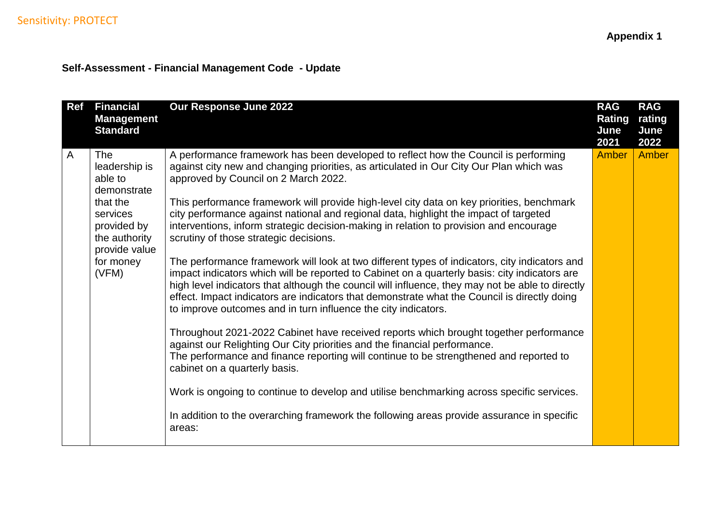# **Self-Assessment - Financial Management Code - Update**

| <b>Ref</b> | <b>Financial</b><br><b>Management</b><br><b>Standard</b>                                                                                      | Our Response June 2022                                                                                                                                                                                                                                                                                                                                                                                                                                                                                                                                                                                                                                                                                                                                                                                                                                                                                                                                                                                                                                                                                                                                                                                                                                                                                                                                                                                                                                                                                                         | <b>RAG</b><br>Rating<br>June<br>2021 | <b>RAG</b><br>rating<br>June<br>2022 |
|------------|-----------------------------------------------------------------------------------------------------------------------------------------------|--------------------------------------------------------------------------------------------------------------------------------------------------------------------------------------------------------------------------------------------------------------------------------------------------------------------------------------------------------------------------------------------------------------------------------------------------------------------------------------------------------------------------------------------------------------------------------------------------------------------------------------------------------------------------------------------------------------------------------------------------------------------------------------------------------------------------------------------------------------------------------------------------------------------------------------------------------------------------------------------------------------------------------------------------------------------------------------------------------------------------------------------------------------------------------------------------------------------------------------------------------------------------------------------------------------------------------------------------------------------------------------------------------------------------------------------------------------------------------------------------------------------------------|--------------------------------------|--------------------------------------|
| A          | The<br>leadership is<br>able to<br>demonstrate<br>that the<br>services<br>provided by<br>the authority<br>provide value<br>for money<br>(VFM) | A performance framework has been developed to reflect how the Council is performing<br>against city new and changing priorities, as articulated in Our City Our Plan which was<br>approved by Council on 2 March 2022.<br>This performance framework will provide high-level city data on key priorities, benchmark<br>city performance against national and regional data, highlight the impact of targeted<br>interventions, inform strategic decision-making in relation to provision and encourage<br>scrutiny of those strategic decisions.<br>The performance framework will look at two different types of indicators, city indicators and<br>impact indicators which will be reported to Cabinet on a quarterly basis: city indicators are<br>high level indicators that although the council will influence, they may not be able to directly<br>effect. Impact indicators are indicators that demonstrate what the Council is directly doing<br>to improve outcomes and in turn influence the city indicators.<br>Throughout 2021-2022 Cabinet have received reports which brought together performance<br>against our Relighting Our City priorities and the financial performance.<br>The performance and finance reporting will continue to be strengthened and reported to<br>cabinet on a quarterly basis.<br>Work is ongoing to continue to develop and utilise benchmarking across specific services.<br>In addition to the overarching framework the following areas provide assurance in specific<br>areas: | Amber                                | Amber                                |
|            |                                                                                                                                               |                                                                                                                                                                                                                                                                                                                                                                                                                                                                                                                                                                                                                                                                                                                                                                                                                                                                                                                                                                                                                                                                                                                                                                                                                                                                                                                                                                                                                                                                                                                                |                                      |                                      |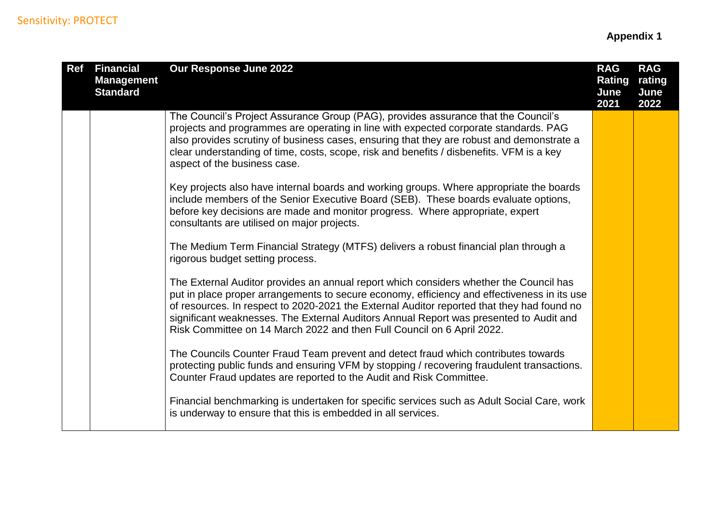| <b>Ref</b> | <b>Financial</b><br><b>Management</b><br><b>Standard</b> | Our Response June 2022                                                                                                                                                                                                                                                                                                                                                                                                                                  | <b>RAG</b><br><b>Rating</b><br>June<br>2021 | <b>RAG</b><br>rating<br>June<br>2022 |
|------------|----------------------------------------------------------|---------------------------------------------------------------------------------------------------------------------------------------------------------------------------------------------------------------------------------------------------------------------------------------------------------------------------------------------------------------------------------------------------------------------------------------------------------|---------------------------------------------|--------------------------------------|
|            |                                                          | The Council's Project Assurance Group (PAG), provides assurance that the Council's<br>projects and programmes are operating in line with expected corporate standards. PAG<br>also provides scrutiny of business cases, ensuring that they are robust and demonstrate a<br>clear understanding of time, costs, scope, risk and benefits / disbenefits. VFM is a key<br>aspect of the business case.                                                     |                                             |                                      |
|            |                                                          | Key projects also have internal boards and working groups. Where appropriate the boards<br>include members of the Senior Executive Board (SEB). These boards evaluate options,<br>before key decisions are made and monitor progress. Where appropriate, expert<br>consultants are utilised on major projects.                                                                                                                                          |                                             |                                      |
|            |                                                          | The Medium Term Financial Strategy (MTFS) delivers a robust financial plan through a<br>rigorous budget setting process.                                                                                                                                                                                                                                                                                                                                |                                             |                                      |
|            |                                                          | The External Auditor provides an annual report which considers whether the Council has<br>put in place proper arrangements to secure economy, efficiency and effectiveness in its use<br>of resources. In respect to 2020-2021 the External Auditor reported that they had found no<br>significant weaknesses. The External Auditors Annual Report was presented to Audit and<br>Risk Committee on 14 March 2022 and then Full Council on 6 April 2022. |                                             |                                      |
|            |                                                          | The Councils Counter Fraud Team prevent and detect fraud which contributes towards<br>protecting public funds and ensuring VFM by stopping / recovering fraudulent transactions.<br>Counter Fraud updates are reported to the Audit and Risk Committee.                                                                                                                                                                                                 |                                             |                                      |
|            |                                                          | Financial benchmarking is undertaken for specific services such as Adult Social Care, work<br>is underway to ensure that this is embedded in all services.                                                                                                                                                                                                                                                                                              |                                             |                                      |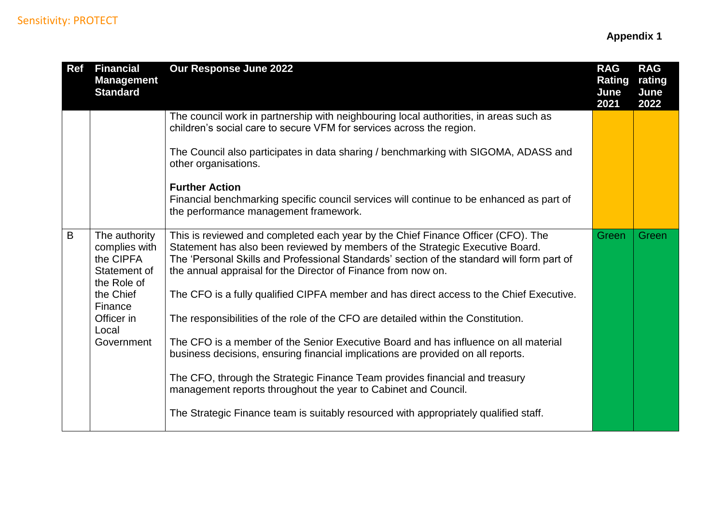| <b>Ref</b> | <b>Financial</b><br><b>Management</b><br><b>Standard</b>                                                                                | Our Response June 2022                                                                                                                                                                                                                                                                                                                                                                                                                                                                                                                                                                                                                                                                                                                                                                                                                                                                                                               | <b>RAG</b><br><b>Rating</b><br>June<br>2021 | <b>RAG</b><br>rating<br>June<br>2022 |
|------------|-----------------------------------------------------------------------------------------------------------------------------------------|--------------------------------------------------------------------------------------------------------------------------------------------------------------------------------------------------------------------------------------------------------------------------------------------------------------------------------------------------------------------------------------------------------------------------------------------------------------------------------------------------------------------------------------------------------------------------------------------------------------------------------------------------------------------------------------------------------------------------------------------------------------------------------------------------------------------------------------------------------------------------------------------------------------------------------------|---------------------------------------------|--------------------------------------|
|            |                                                                                                                                         | The council work in partnership with neighbouring local authorities, in areas such as<br>children's social care to secure VFM for services across the region.<br>The Council also participates in data sharing / benchmarking with SIGOMA, ADASS and<br>other organisations.<br><b>Further Action</b><br>Financial benchmarking specific council services will continue to be enhanced as part of<br>the performance management framework.                                                                                                                                                                                                                                                                                                                                                                                                                                                                                           |                                             |                                      |
| B          | The authority<br>complies with<br>the CIPFA<br>Statement of<br>the Role of<br>the Chief<br>Finance<br>Officer in<br>Local<br>Government | This is reviewed and completed each year by the Chief Finance Officer (CFO). The<br>Statement has also been reviewed by members of the Strategic Executive Board.<br>The 'Personal Skills and Professional Standards' section of the standard will form part of<br>the annual appraisal for the Director of Finance from now on.<br>The CFO is a fully qualified CIPFA member and has direct access to the Chief Executive.<br>The responsibilities of the role of the CFO are detailed within the Constitution.<br>The CFO is a member of the Senior Executive Board and has influence on all material<br>business decisions, ensuring financial implications are provided on all reports.<br>The CFO, through the Strategic Finance Team provides financial and treasury<br>management reports throughout the year to Cabinet and Council.<br>The Strategic Finance team is suitably resourced with appropriately qualified staff. | Green                                       | Green                                |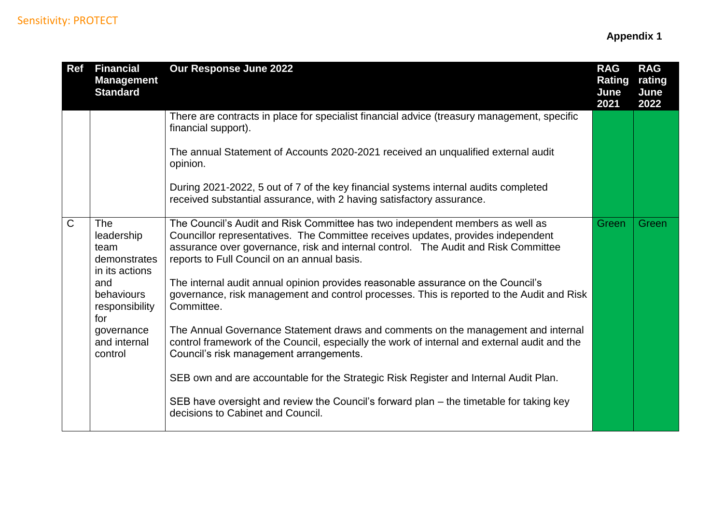| <b>Ref</b>   | <b>Financial</b><br><b>Management</b><br><b>Standard</b>    | Our Response June 2022                                                                                                                                                                                                                                                                                 | <b>RAG</b><br><b>Rating</b><br>June<br>2021 | <b>RAG</b><br>rating<br>June<br>2022 |
|--------------|-------------------------------------------------------------|--------------------------------------------------------------------------------------------------------------------------------------------------------------------------------------------------------------------------------------------------------------------------------------------------------|---------------------------------------------|--------------------------------------|
|              |                                                             | There are contracts in place for specialist financial advice (treasury management, specific<br>financial support).                                                                                                                                                                                     |                                             |                                      |
|              |                                                             | The annual Statement of Accounts 2020-2021 received an unqualified external audit<br>opinion.                                                                                                                                                                                                          |                                             |                                      |
|              |                                                             | During 2021-2022, 5 out of 7 of the key financial systems internal audits completed<br>received substantial assurance, with 2 having satisfactory assurance.                                                                                                                                           |                                             |                                      |
| $\mathsf{C}$ | The<br>leadership<br>team<br>demonstrates<br>in its actions | The Council's Audit and Risk Committee has two independent members as well as<br>Councillor representatives. The Committee receives updates, provides independent<br>assurance over governance, risk and internal control. The Audit and Risk Committee<br>reports to Full Council on an annual basis. | Green                                       | Green                                |
|              | and<br>behaviours<br>responsibility<br>for                  | The internal audit annual opinion provides reasonable assurance on the Council's<br>governance, risk management and control processes. This is reported to the Audit and Risk<br>Committee.                                                                                                            |                                             |                                      |
|              | governance<br>and internal<br>control                       | The Annual Governance Statement draws and comments on the management and internal<br>control framework of the Council, especially the work of internal and external audit and the<br>Council's risk management arrangements.                                                                           |                                             |                                      |
|              |                                                             | SEB own and are accountable for the Strategic Risk Register and Internal Audit Plan.                                                                                                                                                                                                                   |                                             |                                      |
|              |                                                             | SEB have oversight and review the Council's forward plan – the timetable for taking key<br>decisions to Cabinet and Council.                                                                                                                                                                           |                                             |                                      |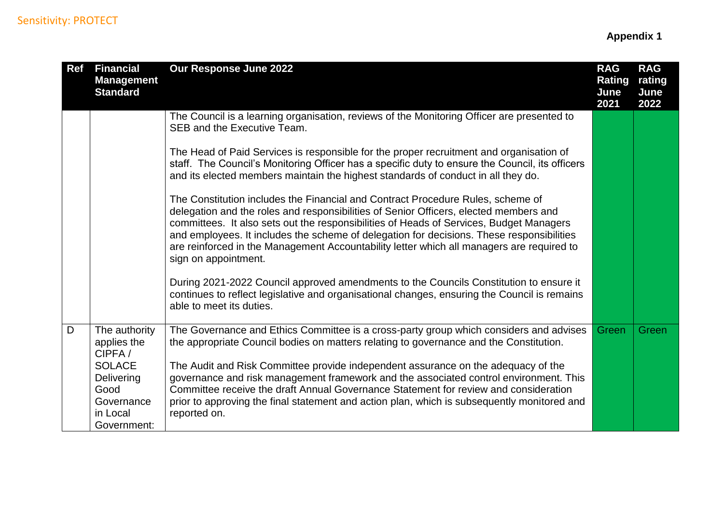| <b>Ref</b> | <b>Financial</b><br><b>Management</b><br><b>Standard</b>                                                               | Our Response June 2022                                                                                                                                                                                                                                                                                                                                                                                                                                                                                                                                                | <b>RAG</b><br>Rating<br>June<br>2021 | <b>RAG</b><br>rating<br>June<br>2022 |
|------------|------------------------------------------------------------------------------------------------------------------------|-----------------------------------------------------------------------------------------------------------------------------------------------------------------------------------------------------------------------------------------------------------------------------------------------------------------------------------------------------------------------------------------------------------------------------------------------------------------------------------------------------------------------------------------------------------------------|--------------------------------------|--------------------------------------|
|            |                                                                                                                        | The Council is a learning organisation, reviews of the Monitoring Officer are presented to<br>SEB and the Executive Team.                                                                                                                                                                                                                                                                                                                                                                                                                                             |                                      |                                      |
|            |                                                                                                                        | The Head of Paid Services is responsible for the proper recruitment and organisation of<br>staff. The Council's Monitoring Officer has a specific duty to ensure the Council, its officers<br>and its elected members maintain the highest standards of conduct in all they do.                                                                                                                                                                                                                                                                                       |                                      |                                      |
|            |                                                                                                                        | The Constitution includes the Financial and Contract Procedure Rules, scheme of<br>delegation and the roles and responsibilities of Senior Officers, elected members and<br>committees. It also sets out the responsibilities of Heads of Services, Budget Managers<br>and employees. It includes the scheme of delegation for decisions. These responsibilities<br>are reinforced in the Management Accountability letter which all managers are required to<br>sign on appointment.                                                                                 |                                      |                                      |
|            |                                                                                                                        | During 2021-2022 Council approved amendments to the Councils Constitution to ensure it<br>continues to reflect legislative and organisational changes, ensuring the Council is remains<br>able to meet its duties.                                                                                                                                                                                                                                                                                                                                                    |                                      |                                      |
| D          | The authority<br>applies the<br>CIPFA/<br><b>SOLACE</b><br>Delivering<br>Good<br>Governance<br>in Local<br>Government: | The Governance and Ethics Committee is a cross-party group which considers and advises<br>the appropriate Council bodies on matters relating to governance and the Constitution.<br>The Audit and Risk Committee provide independent assurance on the adequacy of the<br>governance and risk management framework and the associated control environment. This<br>Committee receive the draft Annual Governance Statement for review and consideration<br>prior to approving the final statement and action plan, which is subsequently monitored and<br>reported on. | <b>Green</b>                         | Green                                |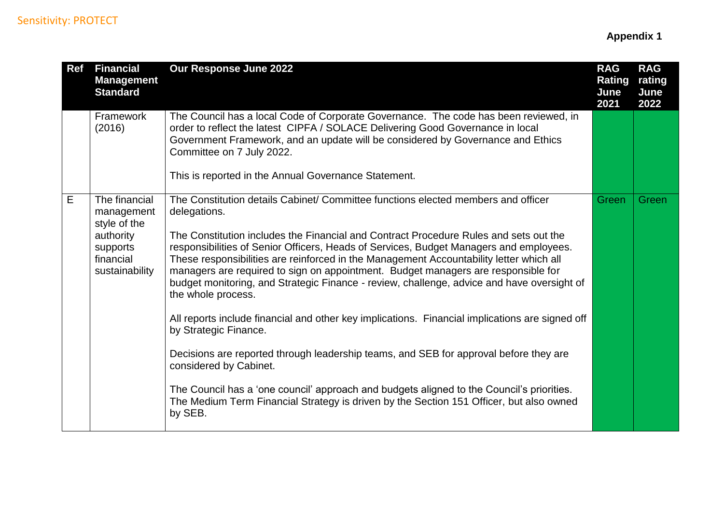| <b>Ref</b> | <b>Financial</b><br><b>Management</b><br><b>Standard</b>                                            | Our Response June 2022                                                                                                                                                                                                                                                                                                                                                                                                                                                                                                                                                                                                                                                                                                                                                                                                                                                                                                                                                                                                                     | <b>RAG</b><br><b>Rating</b><br>June<br>2021 | <b>RAG</b><br>rating<br>June<br>2022 |
|------------|-----------------------------------------------------------------------------------------------------|--------------------------------------------------------------------------------------------------------------------------------------------------------------------------------------------------------------------------------------------------------------------------------------------------------------------------------------------------------------------------------------------------------------------------------------------------------------------------------------------------------------------------------------------------------------------------------------------------------------------------------------------------------------------------------------------------------------------------------------------------------------------------------------------------------------------------------------------------------------------------------------------------------------------------------------------------------------------------------------------------------------------------------------------|---------------------------------------------|--------------------------------------|
|            | Framework<br>(2016)                                                                                 | The Council has a local Code of Corporate Governance. The code has been reviewed, in<br>order to reflect the latest CIPFA / SOLACE Delivering Good Governance in local<br>Government Framework, and an update will be considered by Governance and Ethics<br>Committee on 7 July 2022.<br>This is reported in the Annual Governance Statement.                                                                                                                                                                                                                                                                                                                                                                                                                                                                                                                                                                                                                                                                                             |                                             |                                      |
| E.         | The financial<br>management<br>style of the<br>authority<br>supports<br>financial<br>sustainability | The Constitution details Cabinet/ Committee functions elected members and officer<br>delegations.<br>The Constitution includes the Financial and Contract Procedure Rules and sets out the<br>responsibilities of Senior Officers, Heads of Services, Budget Managers and employees.<br>These responsibilities are reinforced in the Management Accountability letter which all<br>managers are required to sign on appointment. Budget managers are responsible for<br>budget monitoring, and Strategic Finance - review, challenge, advice and have oversight of<br>the whole process.<br>All reports include financial and other key implications. Financial implications are signed off<br>by Strategic Finance.<br>Decisions are reported through leadership teams, and SEB for approval before they are<br>considered by Cabinet.<br>The Council has a 'one council' approach and budgets aligned to the Council's priorities.<br>The Medium Term Financial Strategy is driven by the Section 151 Officer, but also owned<br>by SEB. | Green                                       | Green                                |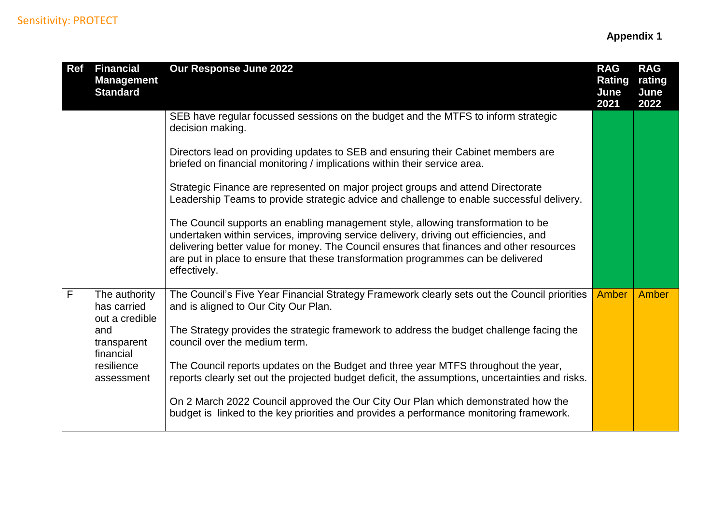| <b>Ref</b> | <b>Financial</b><br><b>Management</b><br><b>Standard</b> | Our Response June 2022                                                                                                                                                                                                                                                                                                                                                    | <b>RAG</b><br><b>Rating</b><br>June<br>2021 | <b>RAG</b><br>rating<br>June<br>2022 |
|------------|----------------------------------------------------------|---------------------------------------------------------------------------------------------------------------------------------------------------------------------------------------------------------------------------------------------------------------------------------------------------------------------------------------------------------------------------|---------------------------------------------|--------------------------------------|
|            |                                                          | SEB have regular focussed sessions on the budget and the MTFS to inform strategic<br>decision making.                                                                                                                                                                                                                                                                     |                                             |                                      |
|            |                                                          | Directors lead on providing updates to SEB and ensuring their Cabinet members are<br>briefed on financial monitoring / implications within their service area.                                                                                                                                                                                                            |                                             |                                      |
|            |                                                          | Strategic Finance are represented on major project groups and attend Directorate<br>Leadership Teams to provide strategic advice and challenge to enable successful delivery.                                                                                                                                                                                             |                                             |                                      |
|            |                                                          | The Council supports an enabling management style, allowing transformation to be<br>undertaken within services, improving service delivery, driving out efficiencies, and<br>delivering better value for money. The Council ensures that finances and other resources<br>are put in place to ensure that these transformation programmes can be delivered<br>effectively. |                                             |                                      |
| F          | The authority<br>has carried<br>out a credible           | The Council's Five Year Financial Strategy Framework clearly sets out the Council priorities<br>and is aligned to Our City Our Plan.                                                                                                                                                                                                                                      | <b>Amber</b>                                | <b>Amber</b>                         |
|            | and<br>transparent<br>financial                          | The Strategy provides the strategic framework to address the budget challenge facing the<br>council over the medium term.                                                                                                                                                                                                                                                 |                                             |                                      |
|            | resilience<br>assessment                                 | The Council reports updates on the Budget and three year MTFS throughout the year,<br>reports clearly set out the projected budget deficit, the assumptions, uncertainties and risks.                                                                                                                                                                                     |                                             |                                      |
|            |                                                          | On 2 March 2022 Council approved the Our City Our Plan which demonstrated how the<br>budget is linked to the key priorities and provides a performance monitoring framework.                                                                                                                                                                                              |                                             |                                      |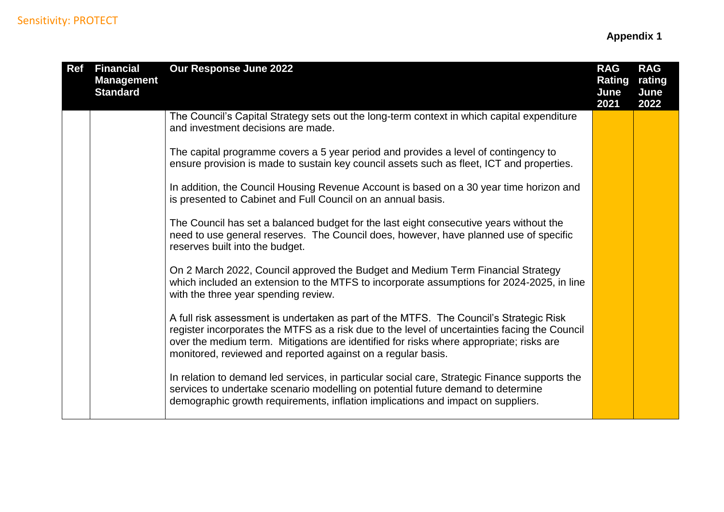| <b>Ref</b> | <b>Financial</b><br><b>Management</b><br><b>Standard</b> | Our Response June 2022                                                                                                                                                                                                                                                                                                                             | <b>RAG</b><br><b>Rating</b><br>June<br>2021 | <b>RAG</b><br>rating<br>June<br>2022 |
|------------|----------------------------------------------------------|----------------------------------------------------------------------------------------------------------------------------------------------------------------------------------------------------------------------------------------------------------------------------------------------------------------------------------------------------|---------------------------------------------|--------------------------------------|
|            |                                                          | The Council's Capital Strategy sets out the long-term context in which capital expenditure<br>and investment decisions are made.                                                                                                                                                                                                                   |                                             |                                      |
|            |                                                          | The capital programme covers a 5 year period and provides a level of contingency to<br>ensure provision is made to sustain key council assets such as fleet, ICT and properties.                                                                                                                                                                   |                                             |                                      |
|            |                                                          | In addition, the Council Housing Revenue Account is based on a 30 year time horizon and<br>is presented to Cabinet and Full Council on an annual basis.                                                                                                                                                                                            |                                             |                                      |
|            |                                                          | The Council has set a balanced budget for the last eight consecutive years without the<br>need to use general reserves. The Council does, however, have planned use of specific<br>reserves built into the budget.                                                                                                                                 |                                             |                                      |
|            |                                                          | On 2 March 2022, Council approved the Budget and Medium Term Financial Strategy<br>which included an extension to the MTFS to incorporate assumptions for 2024-2025, in line<br>with the three year spending review.                                                                                                                               |                                             |                                      |
|            |                                                          | A full risk assessment is undertaken as part of the MTFS. The Council's Strategic Risk<br>register incorporates the MTFS as a risk due to the level of uncertainties facing the Council<br>over the medium term. Mitigations are identified for risks where appropriate; risks are<br>monitored, reviewed and reported against on a regular basis. |                                             |                                      |
|            |                                                          | In relation to demand led services, in particular social care, Strategic Finance supports the<br>services to undertake scenario modelling on potential future demand to determine<br>demographic growth requirements, inflation implications and impact on suppliers.                                                                              |                                             |                                      |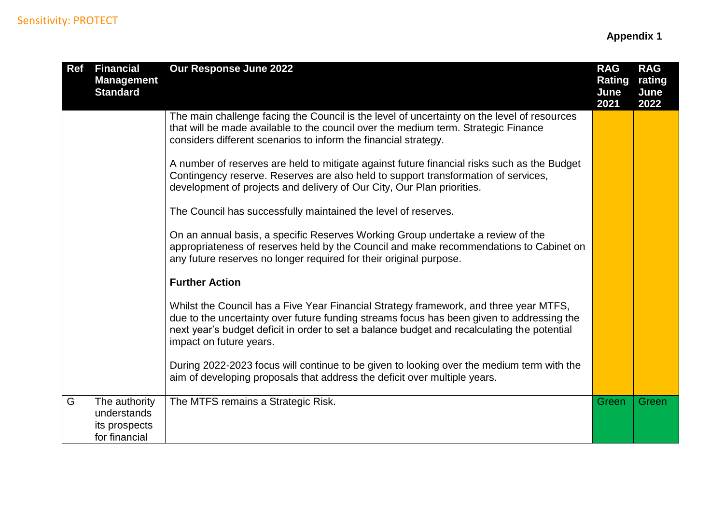| <b>Ref</b> | <b>Financial</b><br><b>Management</b><br><b>Standard</b>       | Our Response June 2022                                                                                                                                                                                                                                                                                       | <b>RAG</b><br>Rating<br>June<br>2021 | <b>RAG</b><br>rating<br>June<br>2022 |
|------------|----------------------------------------------------------------|--------------------------------------------------------------------------------------------------------------------------------------------------------------------------------------------------------------------------------------------------------------------------------------------------------------|--------------------------------------|--------------------------------------|
|            |                                                                | The main challenge facing the Council is the level of uncertainty on the level of resources<br>that will be made available to the council over the medium term. Strategic Finance<br>considers different scenarios to inform the financial strategy.                                                         |                                      |                                      |
|            |                                                                | A number of reserves are held to mitigate against future financial risks such as the Budget<br>Contingency reserve. Reserves are also held to support transformation of services,<br>development of projects and delivery of Our City, Our Plan priorities.                                                  |                                      |                                      |
|            |                                                                | The Council has successfully maintained the level of reserves.                                                                                                                                                                                                                                               |                                      |                                      |
|            |                                                                | On an annual basis, a specific Reserves Working Group undertake a review of the<br>appropriateness of reserves held by the Council and make recommendations to Cabinet on<br>any future reserves no longer required for their original purpose.                                                              |                                      |                                      |
|            |                                                                | <b>Further Action</b>                                                                                                                                                                                                                                                                                        |                                      |                                      |
|            |                                                                | Whilst the Council has a Five Year Financial Strategy framework, and three year MTFS,<br>due to the uncertainty over future funding streams focus has been given to addressing the<br>next year's budget deficit in order to set a balance budget and recalculating the potential<br>impact on future years. |                                      |                                      |
|            |                                                                | During 2022-2023 focus will continue to be given to looking over the medium term with the<br>aim of developing proposals that address the deficit over multiple years.                                                                                                                                       |                                      |                                      |
| G          | The authority<br>understands<br>its prospects<br>for financial | The MTFS remains a Strategic Risk.                                                                                                                                                                                                                                                                           | Green                                | Green                                |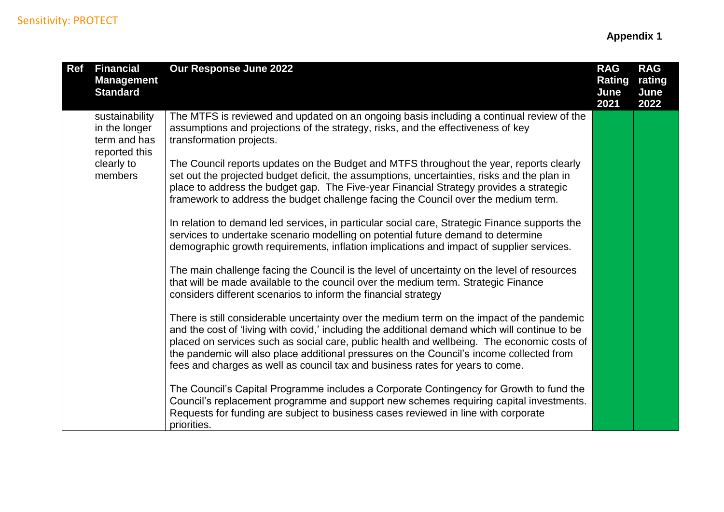| <b>Ref</b> | <b>Financial</b><br><b>Management</b><br><b>Standard</b>         | Our Response June 2022                                                                                                                                                                                                                                                                                                                                                                                                                                                  | <b>RAG</b><br><b>Rating</b><br>June<br>2021 | <b>RAG</b><br>rating<br>June<br>2022 |
|------------|------------------------------------------------------------------|-------------------------------------------------------------------------------------------------------------------------------------------------------------------------------------------------------------------------------------------------------------------------------------------------------------------------------------------------------------------------------------------------------------------------------------------------------------------------|---------------------------------------------|--------------------------------------|
|            | sustainability<br>in the longer<br>term and has<br>reported this | The MTFS is reviewed and updated on an ongoing basis including a continual review of the<br>assumptions and projections of the strategy, risks, and the effectiveness of key<br>transformation projects.                                                                                                                                                                                                                                                                |                                             |                                      |
|            | clearly to<br>members                                            | The Council reports updates on the Budget and MTFS throughout the year, reports clearly<br>set out the projected budget deficit, the assumptions, uncertainties, risks and the plan in<br>place to address the budget gap. The Five-year Financial Strategy provides a strategic<br>framework to address the budget challenge facing the Council over the medium term.                                                                                                  |                                             |                                      |
|            |                                                                  | In relation to demand led services, in particular social care, Strategic Finance supports the<br>services to undertake scenario modelling on potential future demand to determine<br>demographic growth requirements, inflation implications and impact of supplier services.                                                                                                                                                                                           |                                             |                                      |
|            |                                                                  | The main challenge facing the Council is the level of uncertainty on the level of resources<br>that will be made available to the council over the medium term. Strategic Finance<br>considers different scenarios to inform the financial strategy                                                                                                                                                                                                                     |                                             |                                      |
|            |                                                                  | There is still considerable uncertainty over the medium term on the impact of the pandemic<br>and the cost of 'living with covid,' including the additional demand which will continue to be<br>placed on services such as social care, public health and wellbeing. The economic costs of<br>the pandemic will also place additional pressures on the Council's income collected from<br>fees and charges as well as council tax and business rates for years to come. |                                             |                                      |
|            |                                                                  | The Council's Capital Programme includes a Corporate Contingency for Growth to fund the<br>Council's replacement programme and support new schemes requiring capital investments.<br>Requests for funding are subject to business cases reviewed in line with corporate<br>priorities.                                                                                                                                                                                  |                                             |                                      |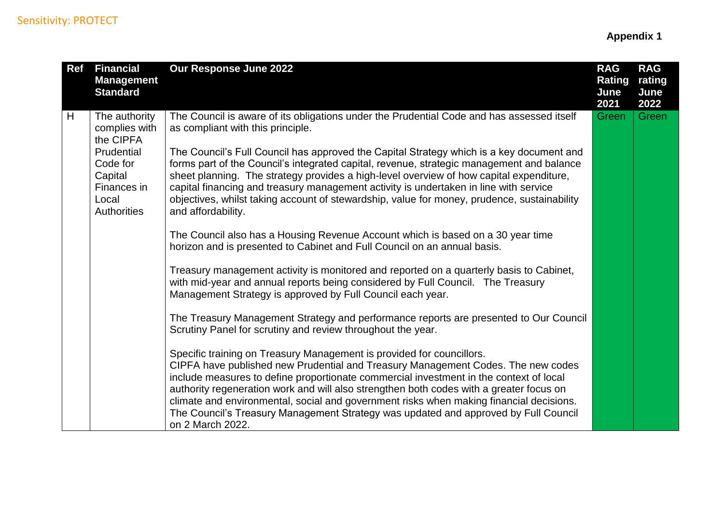| <b>Ref</b> | <b>Financial</b><br><b>Management</b><br><b>Standard</b>                                                 | Our Response June 2022                                                                                                                                                                                                                                                                                                                                                                                                                                                                                                                                                                                                                                                                                                                                                                                                                       | <b>RAG</b><br><b>Rating</b><br>June<br>2021 | <b>RAG</b><br>rating<br>June<br>2022 |
|------------|----------------------------------------------------------------------------------------------------------|----------------------------------------------------------------------------------------------------------------------------------------------------------------------------------------------------------------------------------------------------------------------------------------------------------------------------------------------------------------------------------------------------------------------------------------------------------------------------------------------------------------------------------------------------------------------------------------------------------------------------------------------------------------------------------------------------------------------------------------------------------------------------------------------------------------------------------------------|---------------------------------------------|--------------------------------------|
| H          | The authority<br>complies with<br>the CIPFA<br>Prudential<br>Code for<br>Capital<br>Finances in<br>Local | The Council is aware of its obligations under the Prudential Code and has assessed itself<br>as compliant with this principle.<br>The Council's Full Council has approved the Capital Strategy which is a key document and<br>forms part of the Council's integrated capital, revenue, strategic management and balance<br>sheet planning. The strategy provides a high-level overview of how capital expenditure,<br>capital financing and treasury management activity is undertaken in line with service<br>objectives, whilst taking account of stewardship, value for money, prudence, sustainability                                                                                                                                                                                                                                   | Green                                       | Green                                |
|            | <b>Authorities</b>                                                                                       | and affordability.<br>The Council also has a Housing Revenue Account which is based on a 30 year time<br>horizon and is presented to Cabinet and Full Council on an annual basis.<br>Treasury management activity is monitored and reported on a quarterly basis to Cabinet,<br>with mid-year and annual reports being considered by Full Council. The Treasury<br>Management Strategy is approved by Full Council each year.<br>The Treasury Management Strategy and performance reports are presented to Our Council<br>Scrutiny Panel for scrutiny and review throughout the year.<br>Specific training on Treasury Management is provided for councillors.<br>CIPFA have published new Prudential and Treasury Management Codes. The new codes<br>include measures to define proportionate commercial investment in the context of local |                                             |                                      |
|            |                                                                                                          | authority regeneration work and will also strengthen both codes with a greater focus on<br>climate and environmental, social and government risks when making financial decisions.<br>The Council's Treasury Management Strategy was updated and approved by Full Council<br>on 2 March 2022.                                                                                                                                                                                                                                                                                                                                                                                                                                                                                                                                                |                                             |                                      |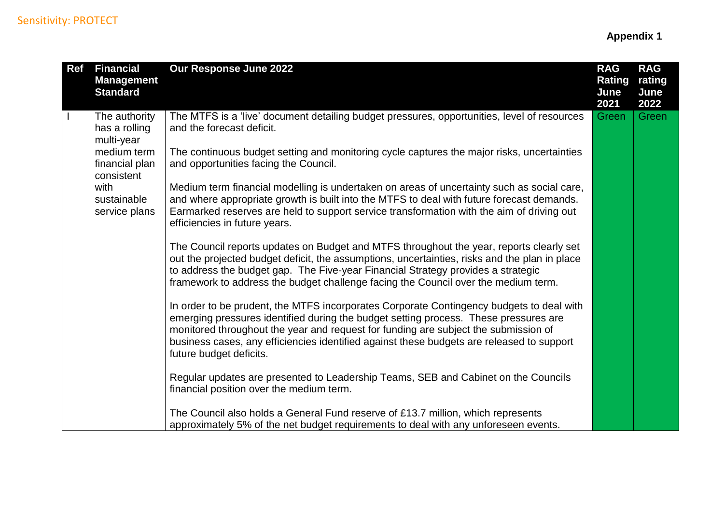| <b>Ref</b> | <b>Financial</b><br><b>Management</b><br><b>Standard</b> | Our Response June 2022                                                                                                                                                                                                                                                                                                                                                                          | <b>RAG</b><br><b>Rating</b><br>June<br>2021 | <b>RAG</b><br>rating<br>June<br>2022 |
|------------|----------------------------------------------------------|-------------------------------------------------------------------------------------------------------------------------------------------------------------------------------------------------------------------------------------------------------------------------------------------------------------------------------------------------------------------------------------------------|---------------------------------------------|--------------------------------------|
|            | The authority<br>has a rolling<br>multi-year             | The MTFS is a 'live' document detailing budget pressures, opportunities, level of resources<br>and the forecast deficit.                                                                                                                                                                                                                                                                        | Green                                       | Green                                |
|            | medium term<br>financial plan<br>consistent              | The continuous budget setting and monitoring cycle captures the major risks, uncertainties<br>and opportunities facing the Council.                                                                                                                                                                                                                                                             |                                             |                                      |
|            | with<br>sustainable<br>service plans                     | Medium term financial modelling is undertaken on areas of uncertainty such as social care,<br>and where appropriate growth is built into the MTFS to deal with future forecast demands.<br>Earmarked reserves are held to support service transformation with the aim of driving out<br>efficiencies in future years.                                                                           |                                             |                                      |
|            |                                                          | The Council reports updates on Budget and MTFS throughout the year, reports clearly set<br>out the projected budget deficit, the assumptions, uncertainties, risks and the plan in place<br>to address the budget gap. The Five-year Financial Strategy provides a strategic<br>framework to address the budget challenge facing the Council over the medium term.                              |                                             |                                      |
|            |                                                          | In order to be prudent, the MTFS incorporates Corporate Contingency budgets to deal with<br>emerging pressures identified during the budget setting process. These pressures are<br>monitored throughout the year and request for funding are subject the submission of<br>business cases, any efficiencies identified against these budgets are released to support<br>future budget deficits. |                                             |                                      |
|            |                                                          | Regular updates are presented to Leadership Teams, SEB and Cabinet on the Councils<br>financial position over the medium term.                                                                                                                                                                                                                                                                  |                                             |                                      |
|            |                                                          | The Council also holds a General Fund reserve of £13.7 million, which represents<br>approximately 5% of the net budget requirements to deal with any unforeseen events.                                                                                                                                                                                                                         |                                             |                                      |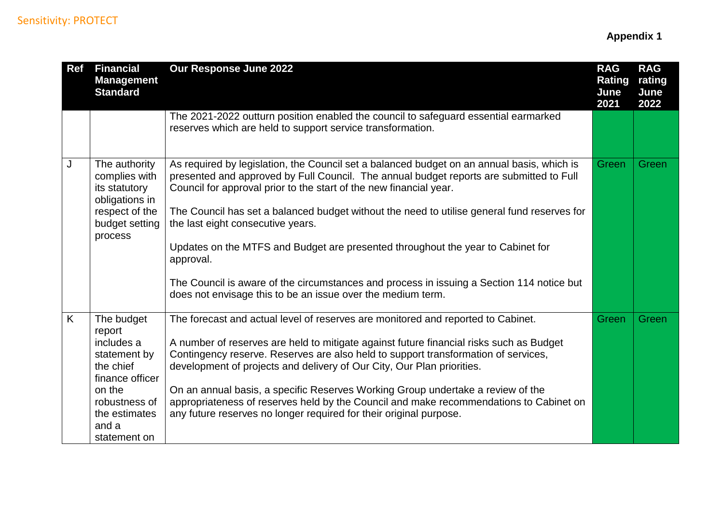| <b>Ref</b> | <b>Financial</b><br><b>Management</b><br><b>Standard</b>                                                                                                | Our Response June 2022                                                                                                                                                                                                                                                                                                                                                                                                                                                                                                                                                                                                                                      | <b>RAG</b><br><b>Rating</b><br>June<br>2021 | <b>RAG</b><br>rating<br>June<br>2022 |
|------------|---------------------------------------------------------------------------------------------------------------------------------------------------------|-------------------------------------------------------------------------------------------------------------------------------------------------------------------------------------------------------------------------------------------------------------------------------------------------------------------------------------------------------------------------------------------------------------------------------------------------------------------------------------------------------------------------------------------------------------------------------------------------------------------------------------------------------------|---------------------------------------------|--------------------------------------|
|            |                                                                                                                                                         | The 2021-2022 outturn position enabled the council to safeguard essential earmarked<br>reserves which are held to support service transformation.                                                                                                                                                                                                                                                                                                                                                                                                                                                                                                           |                                             |                                      |
| J          | The authority<br>complies with<br>its statutory<br>obligations in<br>respect of the<br>budget setting<br>process                                        | As required by legislation, the Council set a balanced budget on an annual basis, which is<br>presented and approved by Full Council. The annual budget reports are submitted to Full<br>Council for approval prior to the start of the new financial year.<br>The Council has set a balanced budget without the need to utilise general fund reserves for<br>the last eight consecutive years.<br>Updates on the MTFS and Budget are presented throughout the year to Cabinet for<br>approval.<br>The Council is aware of the circumstances and process in issuing a Section 114 notice but<br>does not envisage this to be an issue over the medium term. | <b>Green</b>                                | Green                                |
| K.         | The budget<br>report<br>includes a<br>statement by<br>the chief<br>finance officer<br>on the<br>robustness of<br>the estimates<br>and a<br>statement on | The forecast and actual level of reserves are monitored and reported to Cabinet.<br>A number of reserves are held to mitigate against future financial risks such as Budget<br>Contingency reserve. Reserves are also held to support transformation of services,<br>development of projects and delivery of Our City, Our Plan priorities.<br>On an annual basis, a specific Reserves Working Group undertake a review of the<br>appropriateness of reserves held by the Council and make recommendations to Cabinet on<br>any future reserves no longer required for their original purpose.                                                              | Green                                       | Green                                |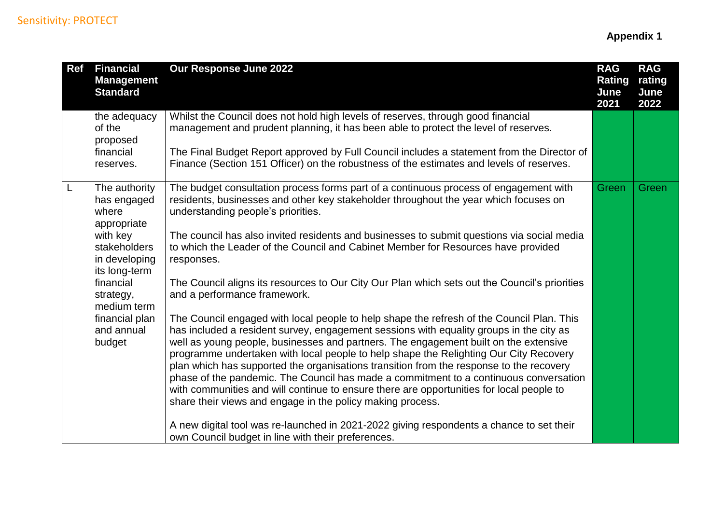| <b>Ref</b> | <b>Financial</b><br><b>Management</b><br><b>Standard</b>                                                                                                    | Our Response June 2022                                                                                                                                                                                                                                                                                                                                                                                                                                                                                                                                                                                                                                                                                                                                                                                                                                                | <b>RAG</b><br><b>Rating</b><br>June<br>2021 | <b>RAG</b><br>rating<br>June<br>2022 |
|------------|-------------------------------------------------------------------------------------------------------------------------------------------------------------|-----------------------------------------------------------------------------------------------------------------------------------------------------------------------------------------------------------------------------------------------------------------------------------------------------------------------------------------------------------------------------------------------------------------------------------------------------------------------------------------------------------------------------------------------------------------------------------------------------------------------------------------------------------------------------------------------------------------------------------------------------------------------------------------------------------------------------------------------------------------------|---------------------------------------------|--------------------------------------|
|            | the adequacy<br>of the<br>proposed<br>financial<br>reserves.                                                                                                | Whilst the Council does not hold high levels of reserves, through good financial<br>management and prudent planning, it has been able to protect the level of reserves.<br>The Final Budget Report approved by Full Council includes a statement from the Director of<br>Finance (Section 151 Officer) on the robustness of the estimates and levels of reserves.                                                                                                                                                                                                                                                                                                                                                                                                                                                                                                     |                                             |                                      |
| L          | The authority<br>has engaged<br>where<br>appropriate<br>with key<br>stakeholders<br>in developing<br>its long-term<br>financial<br>strategy,<br>medium term | The budget consultation process forms part of a continuous process of engagement with<br>residents, businesses and other key stakeholder throughout the year which focuses on<br>understanding people's priorities.<br>The council has also invited residents and businesses to submit questions via social media<br>to which the Leader of the Council and Cabinet Member for Resources have provided<br>responses.<br>The Council aligns its resources to Our City Our Plan which sets out the Council's priorities<br>and a performance framework.                                                                                                                                                                                                                                                                                                                 | Green                                       | Green                                |
|            | financial plan<br>and annual<br>budget                                                                                                                      | The Council engaged with local people to help shape the refresh of the Council Plan. This<br>has included a resident survey, engagement sessions with equality groups in the city as<br>well as young people, businesses and partners. The engagement built on the extensive<br>programme undertaken with local people to help shape the Relighting Our City Recovery<br>plan which has supported the organisations transition from the response to the recovery<br>phase of the pandemic. The Council has made a commitment to a continuous conversation<br>with communities and will continue to ensure there are opportunities for local people to<br>share their views and engage in the policy making process.<br>A new digital tool was re-launched in 2021-2022 giving respondents a chance to set their<br>own Council budget in line with their preferences. |                                             |                                      |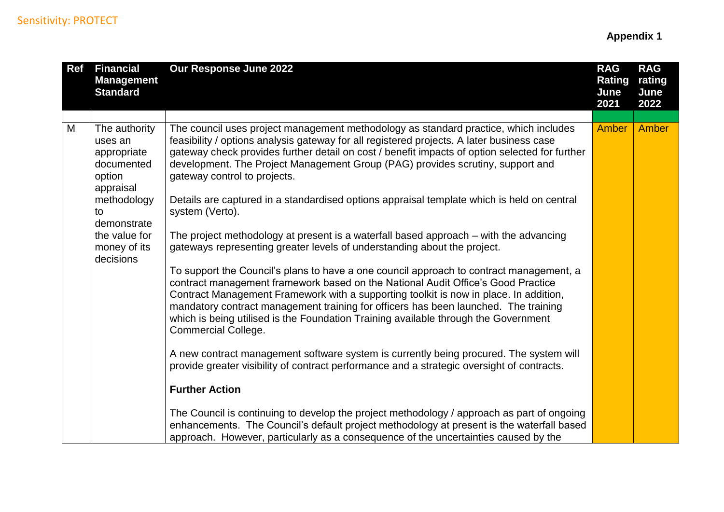| <b>Ref</b> | <b>Financial</b><br><b>Management</b><br><b>Standard</b>                     | Our Response June 2022                                                                                                                                                                                                                                                                                                                                                                                                                                                           | <b>RAG</b><br><b>Rating</b><br>June<br>2021 | <b>RAG</b><br>rating<br>June<br>2022 |
|------------|------------------------------------------------------------------------------|----------------------------------------------------------------------------------------------------------------------------------------------------------------------------------------------------------------------------------------------------------------------------------------------------------------------------------------------------------------------------------------------------------------------------------------------------------------------------------|---------------------------------------------|--------------------------------------|
|            |                                                                              |                                                                                                                                                                                                                                                                                                                                                                                                                                                                                  |                                             |                                      |
| M          | The authority<br>uses an<br>appropriate<br>documented<br>option<br>appraisal | The council uses project management methodology as standard practice, which includes<br>feasibility / options analysis gateway for all registered projects. A later business case<br>gateway check provides further detail on cost / benefit impacts of option selected for further<br>development. The Project Management Group (PAG) provides scrutiny, support and<br>gateway control to projects.                                                                            | <b>Amber</b>                                | Amber                                |
|            | methodology<br>to<br>demonstrate                                             | Details are captured in a standardised options appraisal template which is held on central<br>system (Verto).                                                                                                                                                                                                                                                                                                                                                                    |                                             |                                      |
|            | the value for<br>money of its<br>decisions                                   | The project methodology at present is a waterfall based approach – with the advancing<br>gateways representing greater levels of understanding about the project.                                                                                                                                                                                                                                                                                                                |                                             |                                      |
|            |                                                                              | To support the Council's plans to have a one council approach to contract management, a<br>contract management framework based on the National Audit Office's Good Practice<br>Contract Management Framework with a supporting toolkit is now in place. In addition,<br>mandatory contract management training for officers has been launched. The training<br>which is being utilised is the Foundation Training available through the Government<br><b>Commercial College.</b> |                                             |                                      |
|            |                                                                              | A new contract management software system is currently being procured. The system will<br>provide greater visibility of contract performance and a strategic oversight of contracts.                                                                                                                                                                                                                                                                                             |                                             |                                      |
|            |                                                                              | <b>Further Action</b>                                                                                                                                                                                                                                                                                                                                                                                                                                                            |                                             |                                      |
|            |                                                                              | The Council is continuing to develop the project methodology / approach as part of ongoing<br>enhancements. The Council's default project methodology at present is the waterfall based<br>approach. However, particularly as a consequence of the uncertainties caused by the                                                                                                                                                                                                   |                                             |                                      |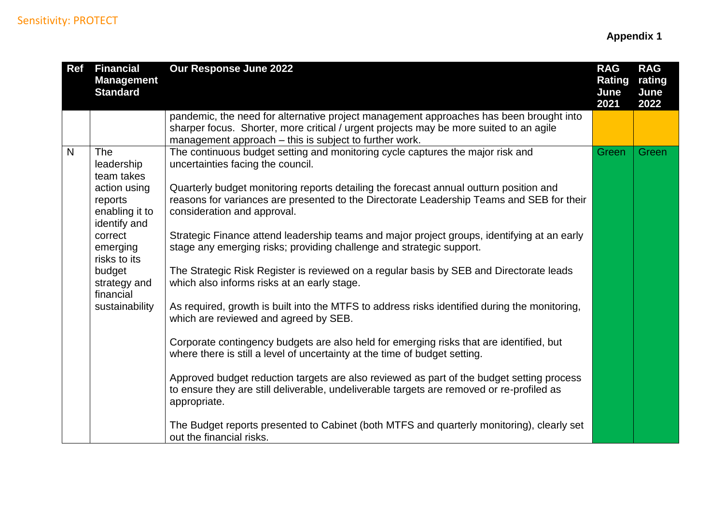| <b>Ref</b> | <b>Financial</b><br><b>Management</b><br><b>Standard</b>  | Our Response June 2022                                                                                                                                                                                                                     | <b>RAG</b><br><b>Rating</b><br>June<br>2021 | <b>RAG</b><br>rating<br>June<br>2022 |
|------------|-----------------------------------------------------------|--------------------------------------------------------------------------------------------------------------------------------------------------------------------------------------------------------------------------------------------|---------------------------------------------|--------------------------------------|
|            |                                                           | pandemic, the need for alternative project management approaches has been brought into<br>sharper focus. Shorter, more critical / urgent projects may be more suited to an agile<br>management approach – this is subject to further work. |                                             |                                      |
| N          | <b>The</b><br>leadership<br>team takes                    | The continuous budget setting and monitoring cycle captures the major risk and<br>uncertainties facing the council.                                                                                                                        | Green                                       | Green                                |
|            | action using<br>reports<br>enabling it to<br>identify and | Quarterly budget monitoring reports detailing the forecast annual outturn position and<br>reasons for variances are presented to the Directorate Leadership Teams and SEB for their<br>consideration and approval.                         |                                             |                                      |
|            | correct<br>emerging<br>risks to its                       | Strategic Finance attend leadership teams and major project groups, identifying at an early<br>stage any emerging risks; providing challenge and strategic support.                                                                        |                                             |                                      |
|            | budget<br>strategy and<br>financial                       | The Strategic Risk Register is reviewed on a regular basis by SEB and Directorate leads<br>which also informs risks at an early stage.                                                                                                     |                                             |                                      |
|            | sustainability                                            | As required, growth is built into the MTFS to address risks identified during the monitoring,<br>which are reviewed and agreed by SEB.                                                                                                     |                                             |                                      |
|            |                                                           | Corporate contingency budgets are also held for emerging risks that are identified, but<br>where there is still a level of uncertainty at the time of budget setting.                                                                      |                                             |                                      |
|            |                                                           | Approved budget reduction targets are also reviewed as part of the budget setting process<br>to ensure they are still deliverable, undeliverable targets are removed or re-profiled as<br>appropriate.                                     |                                             |                                      |
|            |                                                           | The Budget reports presented to Cabinet (both MTFS and quarterly monitoring), clearly set<br>out the financial risks.                                                                                                                      |                                             |                                      |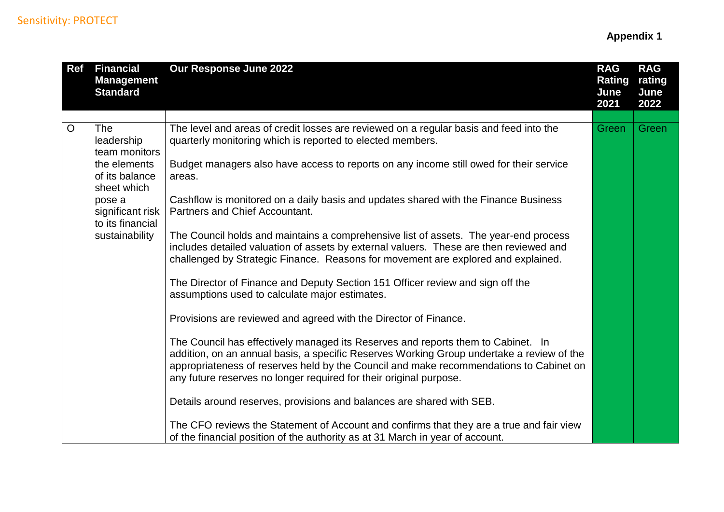| <b>Ref</b>     | <b>Financial</b><br><b>Management</b><br><b>Standard</b> | Our Response June 2022                                                                                                                                                                                                                                                                                                                        | <b>RAG</b><br><b>Rating</b><br>June<br>2021 | <b>RAG</b><br>rating<br>June<br>2022 |
|----------------|----------------------------------------------------------|-----------------------------------------------------------------------------------------------------------------------------------------------------------------------------------------------------------------------------------------------------------------------------------------------------------------------------------------------|---------------------------------------------|--------------------------------------|
|                |                                                          |                                                                                                                                                                                                                                                                                                                                               |                                             |                                      |
| $\overline{O}$ | <b>The</b><br>leadership<br>team monitors                | The level and areas of credit losses are reviewed on a regular basis and feed into the<br>quarterly monitoring which is reported to elected members.                                                                                                                                                                                          | Green                                       | Green                                |
|                | the elements<br>of its balance<br>sheet which            | Budget managers also have access to reports on any income still owed for their service<br>areas.                                                                                                                                                                                                                                              |                                             |                                      |
|                | pose a<br>significant risk<br>to its financial           | Cashflow is monitored on a daily basis and updates shared with the Finance Business<br>Partners and Chief Accountant.                                                                                                                                                                                                                         |                                             |                                      |
|                | sustainability                                           | The Council holds and maintains a comprehensive list of assets. The year-end process<br>includes detailed valuation of assets by external valuers. These are then reviewed and<br>challenged by Strategic Finance. Reasons for movement are explored and explained.                                                                           |                                             |                                      |
|                |                                                          | The Director of Finance and Deputy Section 151 Officer review and sign off the<br>assumptions used to calculate major estimates.                                                                                                                                                                                                              |                                             |                                      |
|                |                                                          | Provisions are reviewed and agreed with the Director of Finance.                                                                                                                                                                                                                                                                              |                                             |                                      |
|                |                                                          | The Council has effectively managed its Reserves and reports them to Cabinet. In<br>addition, on an annual basis, a specific Reserves Working Group undertake a review of the<br>appropriateness of reserves held by the Council and make recommendations to Cabinet on<br>any future reserves no longer required for their original purpose. |                                             |                                      |
|                |                                                          | Details around reserves, provisions and balances are shared with SEB.                                                                                                                                                                                                                                                                         |                                             |                                      |
|                |                                                          | The CFO reviews the Statement of Account and confirms that they are a true and fair view<br>of the financial position of the authority as at 31 March in year of account.                                                                                                                                                                     |                                             |                                      |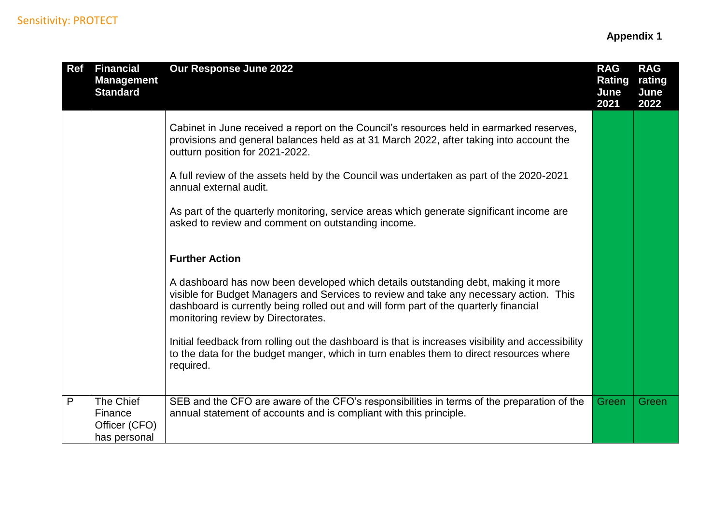| <b>Ref</b> | <b>Financial</b><br><b>Management</b><br><b>Standard</b> | Our Response June 2022                                                                                                                                                                                                                                                                                     | <b>RAG</b><br><b>Rating</b><br>June<br>2021 | <b>RAG</b><br>rating<br>June<br>2022 |
|------------|----------------------------------------------------------|------------------------------------------------------------------------------------------------------------------------------------------------------------------------------------------------------------------------------------------------------------------------------------------------------------|---------------------------------------------|--------------------------------------|
|            |                                                          | Cabinet in June received a report on the Council's resources held in earmarked reserves,<br>provisions and general balances held as at 31 March 2022, after taking into account the<br>outturn position for 2021-2022.                                                                                     |                                             |                                      |
|            |                                                          | A full review of the assets held by the Council was undertaken as part of the 2020-2021<br>annual external audit.                                                                                                                                                                                          |                                             |                                      |
|            |                                                          | As part of the quarterly monitoring, service areas which generate significant income are<br>asked to review and comment on outstanding income.                                                                                                                                                             |                                             |                                      |
|            |                                                          | <b>Further Action</b>                                                                                                                                                                                                                                                                                      |                                             |                                      |
|            |                                                          | A dashboard has now been developed which details outstanding debt, making it more<br>visible for Budget Managers and Services to review and take any necessary action. This<br>dashboard is currently being rolled out and will form part of the quarterly financial<br>monitoring review by Directorates. |                                             |                                      |
|            |                                                          | Initial feedback from rolling out the dashboard is that is increases visibility and accessibility<br>to the data for the budget manger, which in turn enables them to direct resources where<br>required.                                                                                                  |                                             |                                      |
| P          | The Chief<br>Finance<br>Officer (CFO)<br>has personal    | SEB and the CFO are aware of the CFO's responsibilities in terms of the preparation of the<br>annual statement of accounts and is compliant with this principle.                                                                                                                                           | Green                                       | Green                                |